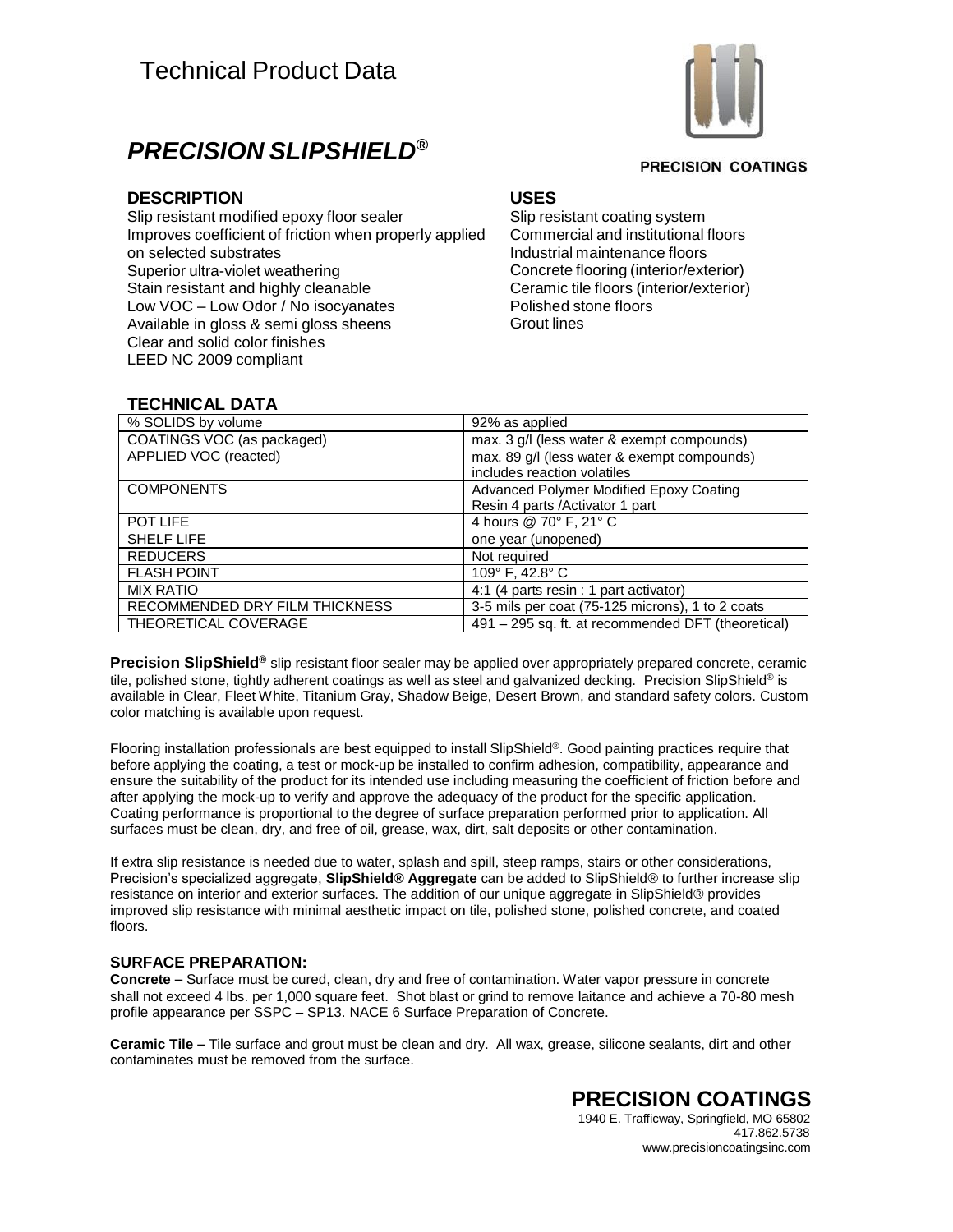

**PRECISION COATINGS** 

## *PRECISION SLIPSHIELD®*

### **DESCRIPTION USES**

Slip resistant modified epoxy floor sealer Improves coefficient of friction when properly applied on selected substrates Superior ultra-violet weathering Stain resistant and highly cleanable Low VOC – Low Odor / No isocyanates Available in gloss & semi gloss sheens Clear and solid color finishes LEED NC 2009 compliant

Slip resistant coating system Commercial and institutional floors Industrial maintenance floors Concrete flooring (interior/exterior) Ceramic tile floors (interior/exterior) Polished stone floors Grout lines

### **TECHNICAL DATA**

| % SOLIDS by volume             | 92% as applied                                     |
|--------------------------------|----------------------------------------------------|
| COATINGS VOC (as packaged)     | max. 3 g/l (less water & exempt compounds)         |
| APPLIED VOC (reacted)          | max. 89 g/l (less water & exempt compounds)        |
|                                | includes reaction volatiles                        |
| <b>COMPONENTS</b>              | <b>Advanced Polymer Modified Epoxy Coating</b>     |
|                                | Resin 4 parts /Activator 1 part                    |
| POT LIFE                       | 4 hours @ 70° F, 21° C                             |
| <b>SHELF LIFE</b>              | one year (unopened)                                |
| <b>REDUCERS</b>                | Not required                                       |
| <b>FLASH POINT</b>             | 109° F, 42.8° C                                    |
| <b>MIX RATIO</b>               | 4:1 (4 parts resin : 1 part activator)             |
| RECOMMENDED DRY FILM THICKNESS | 3-5 mils per coat (75-125 microns), 1 to 2 coats   |
| THEORETICAL COVERAGE           | 491 - 295 sq. ft. at recommended DFT (theoretical) |

Precision SlipShield® slip resistant floor sealer may be applied over appropriately prepared concrete, ceramic tile, polished stone, tightly adherent coatings as well as steel and galvanized decking. Precision SlipShield® is available in Clear, Fleet White, Titanium Gray, Shadow Beige, Desert Brown, and standard safety colors. Custom color matching is available upon request.

Flooring installation professionals are best equipped to install SlipShield ®. Good painting practices require that before applying the coating, a test or mock-up be installed to confirm adhesion, compatibility, appearance and ensure the suitability of the product for its intended use including measuring the coefficient of friction before and after applying the mock-up to verify and approve the adequacy of the product for the specific application. Coating performance is proportional to the degree of surface preparation performed prior to application. All surfaces must be clean, dry, and free of oil, grease, wax, dirt, salt deposits or other contamination.

If extra slip resistance is needed due to water, splash and spill, steep ramps, stairs or other considerations, Precision's specialized aggregate, **SlipShield® Aggregate** can be added to SlipShield® to further increase slip resistance on interior and exterior surfaces. The addition of our unique aggregate in SlipShield® provides improved slip resistance with minimal aesthetic impact on tile, polished stone, polished concrete, and coated floors.

#### **SURFACE PREPARATION:**

**Concrete –** Surface must be cured, clean, dry and free of contamination. Water vapor pressure in concrete shall not exceed 4 lbs. per 1,000 square feet. Shot blast or grind to remove laitance and achieve a 70-80 mesh profile appearance per SSPC – SP13. NACE 6 Surface Preparation of Concrete.

**Ceramic Tile –** Tile surface and grout must be clean and dry. All wax, grease, silicone sealants, dirt and other contaminates must be removed from the surface.

### **PRECISION COATINGS**

1940 E. Trafficway, Springfield, MO 65802 417.862.5738 [www.precisioncoatingsinc.com](http://www.precisioncoatingsinc.com/)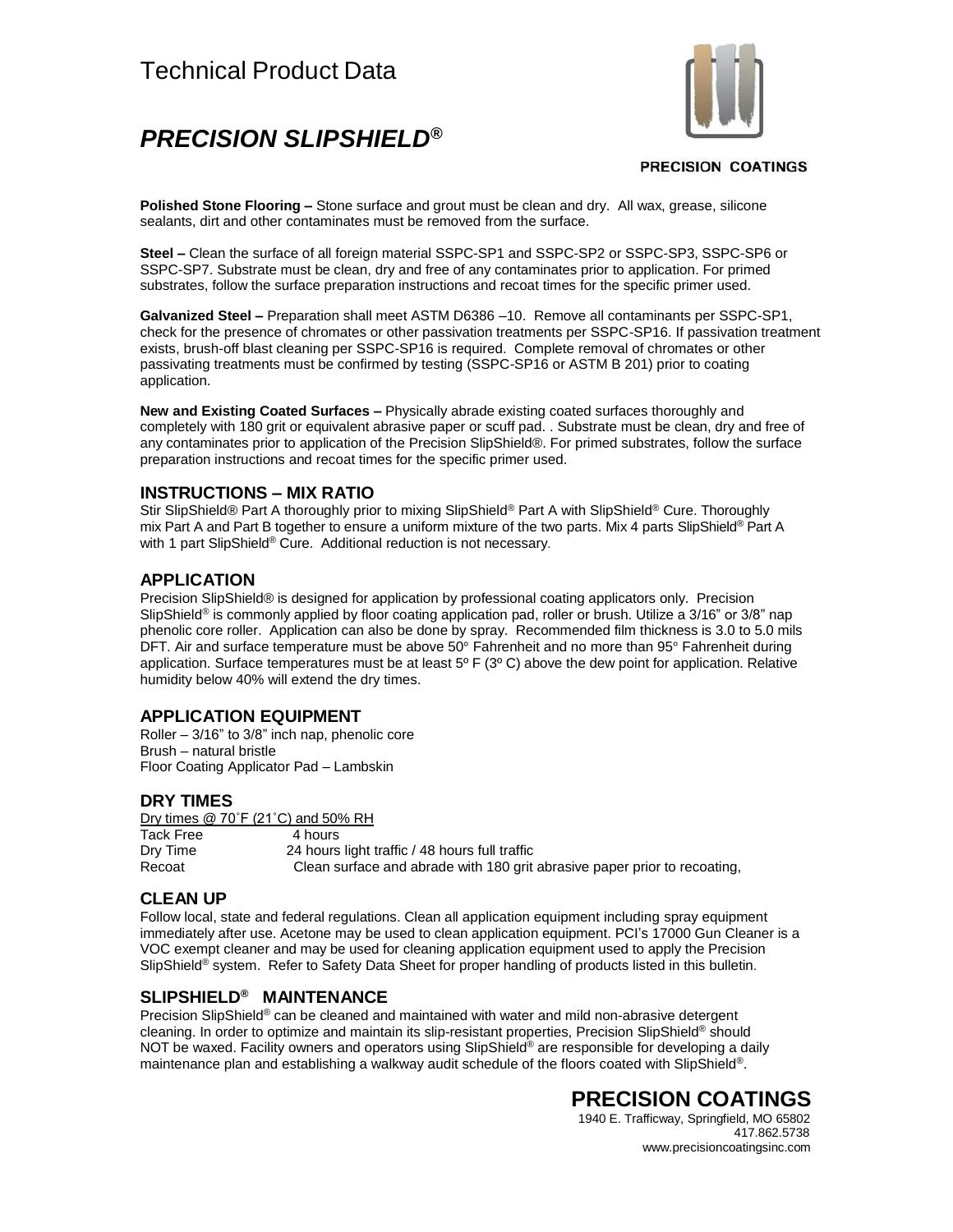# Technical Product Data

# *PRECISION SLIPSHIELD®*



#### **PRECISION COATINGS**

**Polished Stone Flooring –** Stone surface and grout must be clean and dry. All wax, grease, silicone sealants, dirt and other contaminates must be removed from the surface.

**Steel –** Clean the surface of all foreign material SSPC-SP1 and SSPC-SP2 or SSPC-SP3, SSPC-SP6 or SSPC-SP7. Substrate must be clean, dry and free of any contaminates prior to application. For primed substrates, follow the surface preparation instructions and recoat times for the specific primer used.

**Galvanized Steel –** Preparation shall meet ASTM D6386 –10. Remove all contaminants per SSPC-SP1, check for the presence of chromates or other passivation treatments per SSPC-SP16. If passivation treatment exists, brush-off blast cleaning per SSPC-SP16 is required. Complete removal of chromates or other passivating treatments must be confirmed by testing (SSPC-SP16 or ASTM B 201) prior to coating application.

**New and Existing Coated Surfaces –** Physically abrade existing coated surfaces thoroughly and completely with 180 grit or equivalent abrasive paper or scuff pad. . Substrate must be clean, dry and free of any contaminates prior to application of the Precision SlipShield®. For primed substrates, follow the surface preparation instructions and recoat times for the specific primer used.

#### **INSTRUCTIONS – MIX RATIO**

Stir SlipShield® Part A thoroughly prior to mixing SlipShield® Part A with SlipShield® Cure. Thoroughly mix Part A and Part B together to ensure a uniform mixture of the two parts. Mix 4 parts SlipShield® Part A with 1 part SlipShield® Cure. Additional reduction is not necessary.

#### **APPLICATION**

Precision SlipShield® is designed for application by professional coating applicators only. Precision SlipShield<sup>®</sup> is commonly applied by floor coating application pad, roller or brush. Utilize a 3/16" or 3/8" nap phenolic core roller. Application can also be done by spray. Recommended film thickness is 3.0 to 5.0 mils DFT. Air and surface temperature must be above 50° Fahrenheit and no more than 95° Fahrenheit during application. Surface temperatures must be at least  $5^{\circ}$  F (3 $^{\circ}$  C) above the dew point for application. Relative humidity below 40% will extend the dry times.

#### **APPLICATION EQUIPMENT**

Roller – 3/16" to 3/8" inch nap, phenolic core Brush – natural bristle Floor Coating Applicator Pad – Lambskin

#### **DRY TIMES**

Dry times @ 70˚F (21˚C) and 50% RH Tack Free 4 hours<br>Drv Time 24 hours 24 hours light traffic / 48 hours full traffic Recoat Clean surface and abrade with 180 grit abrasive paper prior to recoating,

#### **CLEAN UP**

Follow local, state and federal regulations. Clean all application equipment including spray equipment immediately after use. Acetone may be used to clean application equipment. PCI's 17000 Gun Cleaner is a VOC exempt cleaner and may be used for cleaning application equipment used to apply the Precision SlipShield<sup>®</sup> system. Refer to Safety Data Sheet for proper handling of products listed in this bulletin.

### **SLIPSHIELD® MAINTENANCE**

Precision SlipShield<sup>®</sup> can be cleaned and maintained with water and mild non-abrasive detergent cleaning. In order to optimize and maintain its slip-resistant properties, Precision SlipShield® should NOT be waxed. Facility owners and operators using SlipShield® are responsible for developing a daily maintenance plan and establishing a walkway audit schedule of the floors coated with SlipShield®.

### **PRECISION COATINGS**

1940 E. Trafficway, Springfield, MO 65802 417.862.5738 [www.precisioncoatingsinc.com](http://www.precisioncoatingsinc.com/)